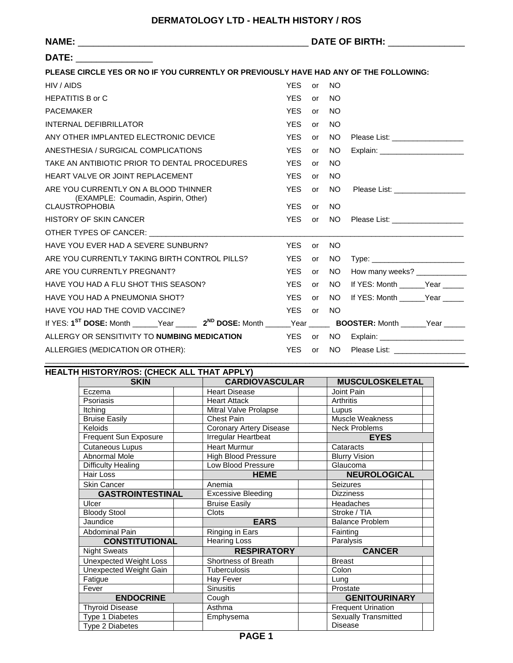|                                                                                                                                  |            |    | DATE OF BIRTH: University Party and Party and Party and Party and Party and Party and Party and Party and Party |                                     |  |
|----------------------------------------------------------------------------------------------------------------------------------|------------|----|-----------------------------------------------------------------------------------------------------------------|-------------------------------------|--|
| DATE: _________________                                                                                                          |            |    |                                                                                                                 |                                     |  |
| PLEASE CIRCLE YES OR NO IF YOU CURRENTLY OR PREVIOUSLY HAVE HAD ANY OF THE FOLLOWING:                                            |            |    |                                                                                                                 |                                     |  |
| HIV / AIDS                                                                                                                       | <b>YES</b> | or | <b>NO</b>                                                                                                       |                                     |  |
| <b>HEPATITIS B or C</b>                                                                                                          | <b>YES</b> | or | <b>NO</b>                                                                                                       |                                     |  |
| <b>PACEMAKER</b>                                                                                                                 | <b>YES</b> | or | <b>NO</b>                                                                                                       |                                     |  |
| INTERNAL DEFIBRILLATOR                                                                                                           | <b>YES</b> | or | <b>NO</b>                                                                                                       |                                     |  |
| ANY OTHER IMPLANTED ELECTRONIC DEVICE                                                                                            | <b>YES</b> | or | NO.                                                                                                             | Please List: __________________     |  |
| ANESTHESIA / SURGICAL COMPLICATIONS                                                                                              | <b>YES</b> | or | NO.                                                                                                             | Explain: ________________________   |  |
| TAKE AN ANTIBIOTIC PRIOR TO DENTAL PROCEDURES                                                                                    | <b>YES</b> | or | NO.                                                                                                             |                                     |  |
| HEART VALVE OR JOINT REPLACEMENT                                                                                                 | <b>YES</b> | or | NO.                                                                                                             |                                     |  |
| ARE YOU CURRENTLY ON A BLOOD THINNER<br>(EXAMPLE: Coumadin, Aspirin, Other)                                                      | <b>YES</b> | or | NO.                                                                                                             | Please List: ___________________    |  |
| <b>CLAUSTROPHOBIA</b>                                                                                                            | <b>YES</b> | or | NO.                                                                                                             |                                     |  |
| <b>HISTORY OF SKIN CANCER</b>                                                                                                    | <b>YES</b> | or | NO.                                                                                                             | Please List: ___________________    |  |
| OTHER TYPES OF CANCER: THE STATE OF STATE STATES.                                                                                |            |    |                                                                                                                 |                                     |  |
| HAVE YOU EVER HAD A SEVERE SUNBURN?                                                                                              | <b>YES</b> | or | NO.                                                                                                             |                                     |  |
| ARE YOU CURRENTLY TAKING BIRTH CONTROL PILLS?                                                                                    | <b>YES</b> | or | NO.                                                                                                             |                                     |  |
| ARE YOU CURRENTLY PREGNANT?                                                                                                      | <b>YES</b> | or | NO.                                                                                                             | How many weeks? _____________       |  |
| HAVE YOU HAD A FLU SHOT THIS SEASON?                                                                                             | <b>YES</b> | or | NO.                                                                                                             | If YES: Month ______Year _____      |  |
| HAVE YOU HAD A PNEUMONIA SHOT?                                                                                                   | <b>YES</b> | or | NO.                                                                                                             | If YES: Month ______Year _____      |  |
| HAVE YOU HAD THE COVID VACCINE?                                                                                                  | YES        | or | - NO                                                                                                            |                                     |  |
| If YES: 1 <sup>ST</sup> DOSE: Month ______Year ______ 2 <sup>ND</sup> DOSE: Month _____Year _____ BOOSTER: Month _____Year _____ |            |    |                                                                                                                 |                                     |  |
| ALLERGY OR SENSITIVITY TO NUMBING MEDICATION                                                                                     | YES or     |    | NO.                                                                                                             | Explain: __________________________ |  |
| ALLERGIES (MEDICATION OR OTHER):                                                                                                 | <b>YES</b> | or | NO.                                                                                                             | Please List: New York Please List:  |  |

|                           | HEALTH HISTORY/ROS: (CHECK ALL THAT APPLY) |                           |  |  |  |  |  |
|---------------------------|--------------------------------------------|---------------------------|--|--|--|--|--|
| <b>SKIN</b>               | <b>CARDIOVASCULAR</b>                      | <b>MUSCULOSKELETAL</b>    |  |  |  |  |  |
| Eczema                    | <b>Heart Disease</b>                       | Joint Pain                |  |  |  |  |  |
| Psoriasis                 | <b>Heart Attack</b>                        | Arthritis                 |  |  |  |  |  |
| Itching                   | Mitral Valve Prolapse                      | Lupus                     |  |  |  |  |  |
| <b>Bruise Easily</b>      | Chest Pain                                 | <b>Muscle Weakness</b>    |  |  |  |  |  |
| Keloids                   | <b>Coronary Artery Disease</b>             | <b>Neck Problems</b>      |  |  |  |  |  |
| Frequent Sun Exposure     | Irregular Heartbeat                        | <b>EYES</b>               |  |  |  |  |  |
| <b>Cutaneous Lupus</b>    | <b>Heart Murmur</b>                        | Cataracts                 |  |  |  |  |  |
| Abnormal Mole             | <b>High Blood Pressure</b>                 | <b>Blurry Vision</b>      |  |  |  |  |  |
| <b>Difficulty Healing</b> | Low Blood Pressure                         | Glaucoma                  |  |  |  |  |  |
| Hair Loss                 | <b>HEME</b>                                | <b>NEUROLOGICAL</b>       |  |  |  |  |  |
| <b>Skin Cancer</b>        | Anemia                                     | Seizures                  |  |  |  |  |  |
| <b>GASTROINTESTINAL</b>   | <b>Excessive Bleeding</b>                  | <b>Dizziness</b>          |  |  |  |  |  |
| Ulcer                     | <b>Bruise Easily</b>                       | Headaches                 |  |  |  |  |  |
| <b>Bloody Stool</b>       | <b>Clots</b>                               | Stroke / TIA              |  |  |  |  |  |
| Jaundice                  | <b>EARS</b>                                | <b>Balance Problem</b>    |  |  |  |  |  |
| Abdominal Pain            | Ringing in Ears                            | Fainting                  |  |  |  |  |  |
| <b>CONSTITUTIONAL</b>     | <b>Hearing Loss</b>                        | Paralysis                 |  |  |  |  |  |
| <b>Night Sweats</b>       | <b>RESPIRATORY</b>                         | <b>CANCER</b>             |  |  |  |  |  |
| Unexpected Weight Loss    | <b>Shortness of Breath</b>                 | <b>Breast</b>             |  |  |  |  |  |
| Unexpected Weight Gain    | <b>Tuberculosis</b>                        | Colon                     |  |  |  |  |  |
| Fatigue                   | Hay Fever                                  | Lung                      |  |  |  |  |  |
| Fever                     | <b>Sinusitis</b>                           | Prostate                  |  |  |  |  |  |
| <b>ENDOCRINE</b>          | Cough                                      | <b>GENITOURINARY</b>      |  |  |  |  |  |
| <b>Thyroid Disease</b>    | Asthma                                     | <b>Frequent Urination</b> |  |  |  |  |  |
|                           |                                            |                           |  |  |  |  |  |
| Type 1 Diabetes           | Emphysema                                  | Sexually Transmitted      |  |  |  |  |  |